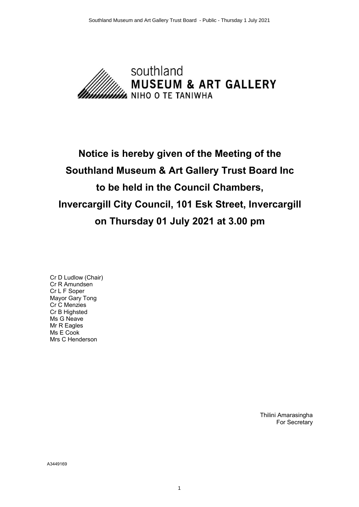

# **Notice is hereby given of the Meeting of the Southland Museum & Art Gallery Trust Board Inc to be held in the Council Chambers, Invercargill City Council, 101 Esk Street, Invercargill on Thursday 01 July 2021 at 3.00 pm**

Cr D Ludlow (Chair) Cr R Amundsen Cr L F Soper Mayor Gary Tong Cr C Menzies Cr B Highsted Ms G Neave Mr R Eagles Ms E Cook Mrs C Henderson

> Thilini Amarasingha For Secretary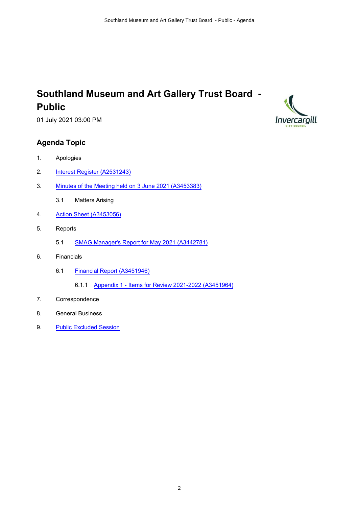## **Southland Museum and Art Gallery Trust Board - Public**

01 July 2021 03:00 PM

## **Agenda Topic**

- 1. Apologies
- 2. [Interest Register \(A2531243\)](#page-2-0)
- 3. [Minutes of the Meeting held on 3 June 2021 \(A3453383\)](#page-5-0)
	- 3.1 Matters Arising
- 4. [Action Sheet \(A3453056\)](#page-9-0)
- 5. Reports
	- 5.1 [SMAG Manager's Report for May 2021 \(A3442781\)](#page-10-0)
- 6. Financials
	- 6.1 [Financial Report \(A3451946\)](#page-13-0)
		- 6.1.1 [Appendix 1 Items for Review 2021-2022 \(A3451964\)](#page-14-0)
- 7. Correspondence
- 8. General Business
- 9. [Public Excluded Session](#page-15-0)

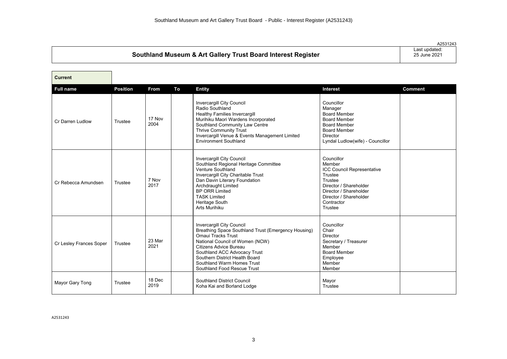<span id="page-2-0"></span>

|                                                              | A2531243                      |
|--------------------------------------------------------------|-------------------------------|
| Southland Museum & Art Gallery Trust Board Interest Register | Last updated:<br>25 June 2021 |
|                                                              |                               |

| <b>Current</b>          |                 |                |    |                                                                                                                                                                                                                                                                                                           |                                                                                                                                                                                        |                |
|-------------------------|-----------------|----------------|----|-----------------------------------------------------------------------------------------------------------------------------------------------------------------------------------------------------------------------------------------------------------------------------------------------------------|----------------------------------------------------------------------------------------------------------------------------------------------------------------------------------------|----------------|
| <b>Full name</b>        | <b>Position</b> | <b>From</b>    | To | <b>Entity</b>                                                                                                                                                                                                                                                                                             | Interest                                                                                                                                                                               | <b>Comment</b> |
| Cr Darren Ludlow        | Trustee         | 17 Nov<br>2004 |    | Invercargill City Council<br>Radio Southland<br><b>Healthy Families Invercargill</b><br>Murihiku Maori Wardens Incorporated<br>Southland Community Law Centre<br>Thrive Community Trust<br>Invercargill Venue & Events Management Limited<br><b>Environment Southland</b>                                 | Councillor<br>Manager<br><b>Board Member</b><br><b>Board Member</b><br><b>Board Member</b><br><b>Board Member</b><br>Director<br>Lyndal Ludlow(wife) - Councillor                      |                |
| Cr Rebecca Amundsen     | Trustee         | 7 Nov<br>2017  |    | Invercargill City Council<br>Southland Regional Heritage Committee<br>Venture Southland<br>Invercargill City Charitable Trust<br>Dan Davin Literary Foundation<br>Archdraught Limited<br><b>BP ORR Limited</b><br><b>TASK Limited</b><br>Heritage South<br>Arts Murihiku                                  | Councillor<br>Member<br><b>ICC Council Representative</b><br>Trustee<br>Trustee<br>Director / Shareholder<br>Director / Shareholder<br>Director / Shareholder<br>Contractor<br>Trustee |                |
| Cr Lesley Frances Soper | Trustee         | 23 Mar<br>2021 |    | <b>Invercargill City Council</b><br>Breathing Space Southland Trust (Emergency Housing)<br>Omaui Tracks Trust<br>National Council of Women (NCW)<br>Citizens Advice Bureau<br>Southland ACC Advocacy Trust<br>Southern District Health Board<br>Southland Warm Homes Trust<br>Southland Food Rescue Trust | Councillor<br>Chair<br>Director<br>Secretary / Treasurer<br>Member<br><b>Board Member</b><br>Employee<br>Member<br>Member                                                              |                |
| Mayor Gary Tong         | Trustee         | 18 Dec<br>2019 |    | Southland District Council<br>Koha Kai and Borland Lodge                                                                                                                                                                                                                                                  | Mayor<br>Trustee                                                                                                                                                                       |                |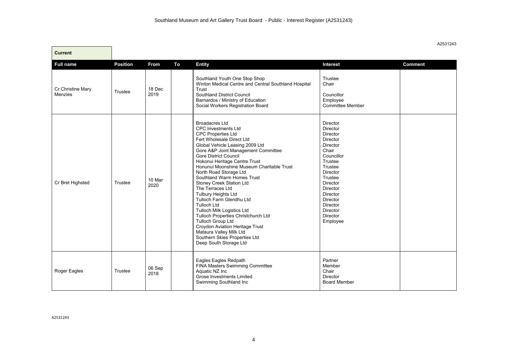| <b>Current</b>                      |                 |                |    |                                                                                                                                                                                                                                                                                                                                                                                                                                                                                                                                                                                                                                                                                                           |                                                                                                                                                                                                                              |                |
|-------------------------------------|-----------------|----------------|----|-----------------------------------------------------------------------------------------------------------------------------------------------------------------------------------------------------------------------------------------------------------------------------------------------------------------------------------------------------------------------------------------------------------------------------------------------------------------------------------------------------------------------------------------------------------------------------------------------------------------------------------------------------------------------------------------------------------|------------------------------------------------------------------------------------------------------------------------------------------------------------------------------------------------------------------------------|----------------|
| <b>Full name</b>                    | <b>Position</b> | From           | To | <b>Entity</b>                                                                                                                                                                                                                                                                                                                                                                                                                                                                                                                                                                                                                                                                                             | <b>Interest</b>                                                                                                                                                                                                              | <b>Comment</b> |
| <b>Cr Christine Mary</b><br>Menzies | Trustee         | 18 Dec<br>2019 |    | Southland Youth One Stop Shop<br>Winton Medical Centre and Central Southland Hospital<br>Trust<br><b>Southland District Council</b><br>Barnardos / Ministry of Education<br>Social Workers Registration Board                                                                                                                                                                                                                                                                                                                                                                                                                                                                                             | Trustee<br>Chair<br>Councillor<br>Employee<br><b>Committee Member</b>                                                                                                                                                        |                |
| Cr Bret Highsted                    | Trustee         | 10 Mar<br>2020 |    | <b>Broadacres Ltd</b><br><b>CPC Investments Ltd</b><br>CPC Properties Ltd<br>Fert Wholesale Direct Ltd<br>Global Vehicle Leasing 2009 Ltd<br>Gore A&P Joint Management Committee<br><b>Gore District Council</b><br>Hokonui Heritage Centre Trust<br>Honunui Moonshine Museum Charitable Trust<br>North Road Storage Ltd<br>Southland Warm Homes Trust<br>Stoney Creek Station Ltd<br>The Terraces Ltd<br>Tulbury Heights Ltd<br>Tulloch Farm Glendhu Ltd<br><b>Tulloch Ltd</b><br>Tulloch Milk Logistics Ltd<br>Tulloch Properties Christchurch Ltd<br><b>Tulloch Group Ltd</b><br>Croydon Aviation Heritage Trust<br>Mataura Valley Milk Ltd<br>Southern Skies Properties Ltd<br>Deep South Storage Ltd | Director<br>Director<br>Director<br>Director<br>Director<br>Chair<br>Councillor<br>Trustee<br>Trustee<br>Director<br>Trustee<br>Director<br>Director<br>Director<br>Director<br>Director<br>Director<br>Director<br>Employee |                |
| Roger Eagles                        | Trustee         | 06 Sep<br>2018 |    | Eagles Eagles Redpath<br>FINA Masters Swimming Committee<br>Aquatic NZ Inc<br>Grose Investments Limited<br>Swimming Southland Inc                                                                                                                                                                                                                                                                                                                                                                                                                                                                                                                                                                         | Partner<br>Member<br>Chair<br>Director<br><b>Board Member</b>                                                                                                                                                                |                |

A2531243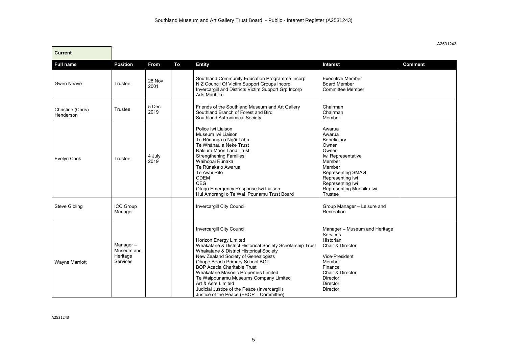| <b>Current</b>                 |                                                |                |    |                                                                                                                                                                                                                                                                                                                                                                                                                                                                                     |                                                                                                                                                                                                  |                |
|--------------------------------|------------------------------------------------|----------------|----|-------------------------------------------------------------------------------------------------------------------------------------------------------------------------------------------------------------------------------------------------------------------------------------------------------------------------------------------------------------------------------------------------------------------------------------------------------------------------------------|--------------------------------------------------------------------------------------------------------------------------------------------------------------------------------------------------|----------------|
| <b>Full name</b>               | <b>Position</b>                                | <b>From</b>    | To | <b>Entity</b>                                                                                                                                                                                                                                                                                                                                                                                                                                                                       | <b>Interest</b>                                                                                                                                                                                  | <b>Comment</b> |
| <b>Gwen Neave</b>              | Trustee                                        | 28 Nov<br>2001 |    | Southland Community Education Programme Incorp<br>N Z Council Of Victim Support Groups Incorp<br>Invercargill and Districts Victim Support Grp Incorp<br>Arts Murihiku                                                                                                                                                                                                                                                                                                              | <b>Executive Member</b><br><b>Board Member</b><br><b>Committee Member</b>                                                                                                                        |                |
| Christine (Chris)<br>Henderson | Trustee                                        | 5 Dec<br>2019  |    | Friends of the Southland Museum and Art Gallery<br>Southland Branch of Forest and Bird<br>Southland Astronimical Society                                                                                                                                                                                                                                                                                                                                                            | Chairman<br>Chairman<br>Member                                                                                                                                                                   |                |
| Evelyn Cook                    | Trustee                                        | 4 July<br>2019 |    | Police Iwi Liaison<br>Museum Iwi Liaison<br>Te Rūnanga o Ngāi Tahu<br>Te Whānau a Neke Trust<br>Rakiura Māori Land Trust<br><b>Strengthening Families</b><br>Waihōpai Rūnaka<br>Te Rūnaka o Awarua<br>Te Awhi Rito<br><b>CDEM</b><br>CEG<br>Otago Emergency Response Iwi Liaison<br>Hui Amorangi o Te Wai Pounamu Trust Board                                                                                                                                                       | Awarua<br>Awarua<br>Beneficiary<br>Owner<br>Owner<br>Iwi Representative<br>Member<br>Member<br>Representing SMAG<br>Representing Iwi<br>Representing Iwi<br>Representing Murihiku Iwi<br>Trustee |                |
| <b>Steve Gibling</b>           | ICC Group<br>Manager                           |                |    | Invercargill City Council                                                                                                                                                                                                                                                                                                                                                                                                                                                           | Group Manager - Leisure and<br>Recreation                                                                                                                                                        |                |
| Wayne Marriott                 | Manager-<br>Museum and<br>Heritage<br>Services |                |    | Invercargill City Council<br><b>Horizon Energy Limited</b><br>Whakatane & District Historical Society Scholarship Trust<br>Whakatane & District Historical Society<br>New Zealand Society of Genealogists<br>Ohope Beach Primary School BOT<br><b>BOP Acacia Charitable Trust</b><br>Whakatane Masonic Properties Limited<br>Te Waipounamu Museums Company Limited<br>Art & Acre Limited<br>Judicial Justice of the Peace (Invercargill)<br>Justice of the Peace (EBOP - Committee) | Manager - Museum and Heritage<br><b>Services</b><br>Historian<br>Chair & Director<br>Vice-President<br>Member<br>Finance<br>Chair & Director<br>Director<br>Director<br>Director                 |                |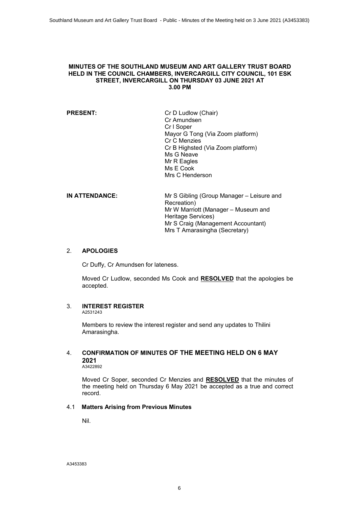#### <span id="page-5-0"></span>**MINUTES OF THE SOUTHLAND MUSEUM AND ART GALLERY TRUST BOARD HELD IN THE COUNCIL CHAMBERS, INVERCARGILL CITY COUNCIL, 101 ESK STREET, INVERCARGILL ON THURSDAY 03 JUNE 2021 AT 3.00 PM**

| <b>PRESENT:</b> | Cr D Ludlow (Chair)               |
|-----------------|-----------------------------------|
|                 | Cr Amundsen                       |
|                 | Cr I Soper                        |
|                 | Mayor G Tong (Via Zoom platform)  |
|                 | Cr C Menzies                      |
|                 | Cr B Highsted (Via Zoom platform) |
|                 | Ms G Neave                        |
|                 | Mr R Eagles                       |
|                 | Ms E Cook                         |
|                 | Mrs C Henderson                   |
|                 |                                   |
|                 |                                   |

| <b>IN ATTENDANCE:</b> | Mr S Gibling (Group Manager - Leisure and |
|-----------------------|-------------------------------------------|
|                       | Recreation)                               |
|                       | Mr W Marriott (Manager – Museum and       |
|                       | Heritage Services)                        |
|                       | Mr S Craig (Management Accountant)        |
|                       | Mrs T Amarasingha (Secretary)             |
|                       |                                           |

#### 2. **APOLOGIES**

Cr Duffy, Cr Amundsen for lateness.

Moved Cr Ludlow, seconded Ms Cook and **RESOLVED** that the apologies be accepted.

#### 3. **INTEREST REGISTER**

A2531243

Members to review the interest register and send any updates to Thilini Amarasingha.

## 4. **CONFIRMATION OF MINUTES OF THE MEETING HELD ON 6 MAY 2021**

A3422892

Moved Cr Soper, seconded Cr Menzies and **RESOLVED** that the minutes of the meeting held on Thursday 6 May 2021 be accepted as a true and correct record.

### 4.1 **Matters Arising from Previous Minutes**

Nil.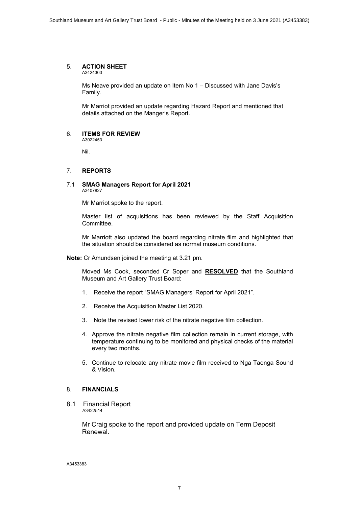#### 5. **ACTION SHEET**

A3424300

Ms Neave provided an update on Item No 1 – Discussed with Jane Davis's Family.

Mr Marriot provided an update regarding Hazard Report and mentioned that details attached on the Manger's Report.

#### 6. **ITEMS FOR REVIEW** A3022453

Nil.

#### 7. **REPORTS**

#### 7.1 **SMAG Managers Report for April 2021** A3407827

Mr Marriot spoke to the report.

Master list of acquisitions has been reviewed by the Staff Acquisition Committee.

Mr Marriott also updated the board regarding nitrate film and highlighted that the situation should be considered as normal museum conditions.

**Note:** Cr Amundsen joined the meeting at 3.21 pm.

Moved Ms Cook, seconded Cr Soper and **RESOLVED** that the Southland Museum and Art Gallery Trust Board:

- 1. Receive the report "SMAG Managers' Report for April 2021".
- 2. Receive the Acquisition Master List 2020.
- 3. Note the revised lower risk of the nitrate negative film collection.
- 4. Approve the nitrate negative film collection remain in current storage, with temperature continuing to be monitored and physical checks of the material every two months.
- 5. Continue to relocate any nitrate movie film received to Nga Taonga Sound & Vision.

#### 8. **FINANCIALS**

8.1 Financial Report A3422514

> Mr Craig spoke to the report and provided update on Term Deposit Renewal.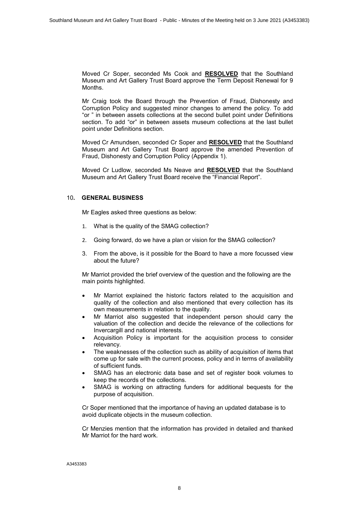Moved Cr Soper, seconded Ms Cook and **RESOLVED** that the Southland Museum and Art Gallery Trust Board approve the Term Deposit Renewal for 9 Months.

Mr Craig took the Board through the Prevention of Fraud, Dishonesty and Corruption Policy and suggested minor changes to amend the policy. To add "or " in between assets collections at the second bullet point under Definitions section. To add "or" in between assets museum collections at the last bullet point under Definitions section.

Moved Cr Amundsen, seconded Cr Soper and **RESOLVED** that the Southland Museum and Art Gallery Trust Board approve the amended Prevention of Fraud, Dishonesty and Corruption Policy (Appendix 1).

Moved Cr Ludlow, seconded Ms Neave and **RESOLVED** that the Southland Museum and Art Gallery Trust Board receive the "Financial Report".

#### 10**. GENERAL BUSINESS**

Mr Eagles asked three questions as below:

- 1. What is the quality of the SMAG collection?
- 2. Going forward, do we have a plan or vision for the SMAG collection?
- 3. From the above, is it possible for the Board to have a more focussed view about the future?

Mr Marriot provided the brief overview of the question and the following are the main points highlighted.

- ∑ Mr Marriot explained the historic factors related to the acquisition and quality of the collection and also mentioned that every collection has its own measurements in relation to the quality.
- ∑ Mr Marriot also suggested that independent person should carry the valuation of the collection and decide the relevance of the collections for Invercargill and national interests.
- ∑ Acquisition Policy is important for the acquisition process to consider relevancy.
- The weaknesses of the collection such as ability of acquisition of items that come up for sale with the current process, policy and in terms of availability of sufficient funds.
- SMAG has an electronic data base and set of register book volumes to keep the records of the collections.
- SMAG is working on attracting funders for additional bequests for the purpose of acquisition.

Cr Soper mentioned that the importance of having an updated database is to avoid duplicate objects in the museum collection.

Cr Menzies mention that the information has provided in detailed and thanked Mr Marriot for the hard work.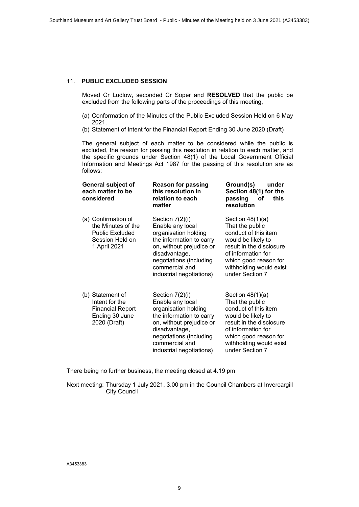#### 11. **PUBLIC EXCLUDED SESSION**

Moved Cr Ludlow, seconded Cr Soper and **RESOLVED** that the public be excluded from the following parts of the proceedings of this meeting,

- (a) Conformation of the Minutes of the Public Excluded Session Held on 6 May 2021.
- (b) Statement of Intent for the Financial Report Ending 30 June 2020 (Draft)

The general subject of each matter to be considered while the public is excluded, the reason for passing this resolution in relation to each matter, and the specific grounds under Section 48(1) of the Local Government Official Information and Meetings Act 1987 for the passing of this resolution are as follows:

| <b>General subject of</b><br>each matter to be<br>considered                                           | <b>Reason for passing</b><br>this resolution in<br>relation to each<br>matter                                                                                                                                 | Ground(s)<br>under<br>Section 48(1) for the<br>passing<br>this<br>оf<br>resolution                                                                                                                           |
|--------------------------------------------------------------------------------------------------------|---------------------------------------------------------------------------------------------------------------------------------------------------------------------------------------------------------------|--------------------------------------------------------------------------------------------------------------------------------------------------------------------------------------------------------------|
| (a) Confirmation of<br>the Minutes of the<br><b>Public Excluded</b><br>Session Held on<br>1 April 2021 | Section 7(2)(i)<br>Enable any local<br>organisation holding<br>the information to carry<br>on, without prejudice or<br>disadvantage,<br>negotiations (including<br>commercial and<br>industrial negotiations) | Section $48(1)(a)$<br>That the public<br>conduct of this item<br>would be likely to<br>result in the disclosure<br>of information for<br>which good reason for<br>withholding would exist<br>under Section 7 |
| (b) Statement of<br>Intent for the<br><b>Financial Report</b><br>Ending 30 June<br>2020 (Draft)        | Section 7(2)(i)<br>Enable any local<br>organisation holding<br>the information to carry<br>on, without prejudice or<br>disadvantage,<br>negotiations (including<br>commercial and<br>industrial negotiations) | Section $48(1)(a)$<br>That the public<br>conduct of this item<br>would be likely to<br>result in the disclosure<br>of information for<br>which good reason for<br>withholding would exist<br>under Section 7 |

There being no further business, the meeting closed at 4.19 pm

Next meeting: Thursday 1 July 2021, 3.00 pm in the Council Chambers at Invercargill City Council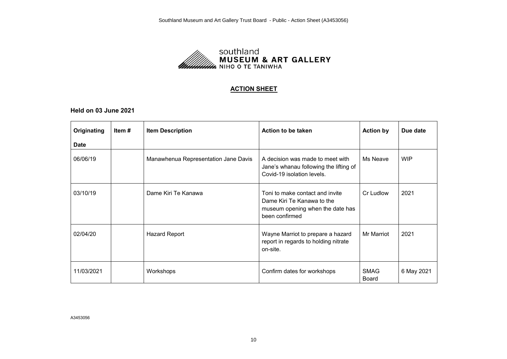

#### **ACTION SHEET**

<span id="page-9-0"></span>**Held on 03 June 2021**

| Originating | Item # | <b>Item Description</b>              | Action to be taken                                                                                                  | <b>Action by</b>            | Due date   |
|-------------|--------|--------------------------------------|---------------------------------------------------------------------------------------------------------------------|-----------------------------|------------|
| <b>Date</b> |        |                                      |                                                                                                                     |                             |            |
| 06/06/19    |        | Manawhenua Representation Jane Davis | A decision was made to meet with<br>Jane's whanau following the lifting of<br>Covid-19 isolation levels.            | Ms Neave                    | <b>WIP</b> |
| 03/10/19    |        | Dame Kiri Te Kanawa                  | Toni to make contact and invite<br>Dame Kiri Te Kanawa to the<br>museum opening when the date has<br>been confirmed | Cr Ludlow                   | 2021       |
| 02/04/20    |        | Hazard Report                        | Wayne Marriot to prepare a hazard<br>report in regards to holding nitrate<br>on-site.                               | Mr Marriot                  | 2021       |
| 11/03/2021  |        | Workshops                            | Confirm dates for workshops                                                                                         | <b>SMAG</b><br><b>Board</b> | 6 May 2021 |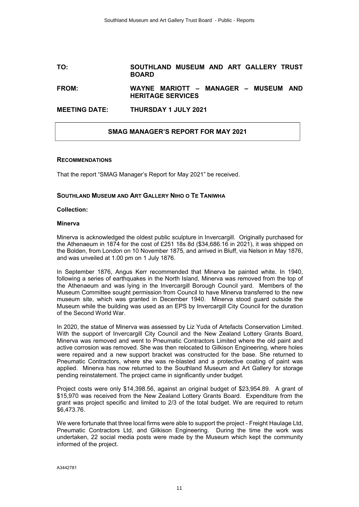#### <span id="page-10-0"></span>**TO: SOUTHLAND MUSEUM AND ART GALLERY TRUST BOARD**

#### **FROM: WAYNE MARIOTT – MANAGER – MUSEUM AND HERITAGE SERVICES**

#### **MEETING DATE: THURSDAY 1 JULY 2021**

#### **SMAG MANAGER'S REPORT FOR MAY 2021**

#### **RECOMMENDATIONS**

That the report "SMAG Manager's Report for May 2021" be received.

#### **SOUTHLAND MUSEUM AND ART GALLERY NIHO O TE TANIWHA**

#### **Collection:**

#### **Minerva**

Minerva is acknowledged the oldest public sculpture in Invercargill. Originally purchased for the Athenaeum in 1874 for the cost of £251 18s 8d (\$34,686.16 in 2021), it was shipped on the Bolden, from London on 10 November 1875, and arrived in Bluff, via Nelson in May 1876, and was unveiled at 1.00 pm on 1 July 1876.

In September 1876, Angus Kerr recommended that Minerva be painted white. In 1940, following a series of earthquakes in the North Island, Minerva was removed from the top of the Athenaeum and was lying in the Invercargill Borough Council yard. Members of the Museum Committee sought permission from Council to have Minerva transferred to the new museum site, which was granted in December 1940. Minerva stood guard outside the Museum while the building was used as an EPS by Invercargill City Council for the duration of the Second World War.

In 2020, the statue of Minerva was assessed by Liz Yuda of Artefacts Conservation Limited. With the support of Invercargill City Council and the New Zealand Lottery Grants Board, Minerva was removed and went to Pneumatic Contractors Limited where the old paint and active corrosion was removed. She was then relocated to Gilkison Engineering, where holes were repaired and a new support bracket was constructed for the base. She returned to Pneumatic Contractors, where she was re-blasted and a protective coating of paint was applied. Minerva has now returned to the Southland Museum and Art Gallery for storage pending reinstatement. The project came in significantly under budget.

Project costs were only \$14,398.56, against an original budget of \$23,954.89. A grant of \$15,970 was received from the New Zealand Lottery Grants Board. Expenditure from the grant was project specific and limited to 2/3 of the total budget. We are required to return \$6,473.76.

We were fortunate that three local firms were able to support the project - Freight Haulage Ltd, Pneumatic Contractors Ltd, and Gilkison Engineering. During the time the work was undertaken, 22 social media posts were made by the Museum which kept the community informed of the project.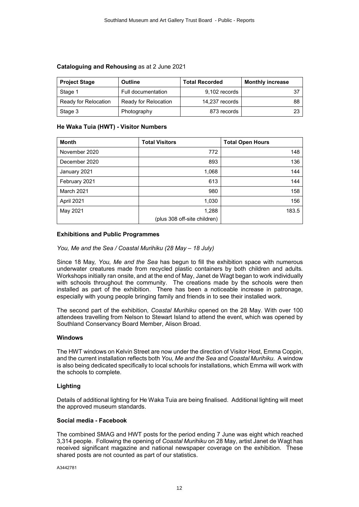| <b>Project Stage</b> | <b>Outline</b>       | <b>Total Recorded</b> | <b>Monthly increase</b> |
|----------------------|----------------------|-----------------------|-------------------------|
| Stage 1              | Full documentation   | 9,102 records         |                         |
| Ready for Relocation | Ready for Relocation | 14,237 records        | 88                      |
| Stage 3              | Photography          | 873 records           | 23                      |

#### **Cataloguing and Rehousing** as at 2 June 2021

#### **He Waka Tuia (HWT) - Visitor Numbers**

| <b>Month</b>      | <b>Total Visitors</b>        | <b>Total Open Hours</b> |
|-------------------|------------------------------|-------------------------|
| November 2020     | 772                          | 148                     |
| December 2020     | 893                          | 136                     |
| January 2021      | 1,068                        | 144                     |
| February 2021     | 613                          | 144                     |
| <b>March 2021</b> | 980                          | 158                     |
| April 2021        | 1,030                        | 156                     |
| May 2021          | 1,288                        | 183.5                   |
|                   | (plus 308 off-site children) |                         |

#### **Exhibitions and Public Programmes**

#### *You, Me and the Sea / Coastal Murihiku (28 May – 18 July)*

Since 18 May*, You, Me and the Sea* has begun to fill the exhibition space with numerous underwater creatures made from recycled plastic containers by both children and adults. Workshops initially ran onsite, and at the end of May, Janet de Wagt began to work individually with schools throughout the community. The creations made by the schools were then installed as part of the exhibition. There has been a noticeable increase in patronage, especially with young people bringing family and friends in to see their installed work.

The second part of the exhibition, *Coastal Murihiku* opened on the 28 May. With over 100 attendees travelling from Nelson to Stewart Island to attend the event, which was opened by Southland Conservancy Board Member, Alison Broad.

#### **Windows**

The HWT windows on Kelvin Street are now under the direction of Visitor Host, Emma Coppin, and the current installation reflects both *You, Me and the Sea* and *Coastal Murihiku.* A window is also being dedicated specifically to local schools for installations, which Emma will work with the schools to complete.

#### **Lighting**

Details of additional lighting for He Waka Tuia are being finalised. Additional lighting will meet the approved museum standards.

#### **Social media - Facebook**

The combined SMAG and HWT posts for the period ending 7 June was eight which reached 3,314 people. Following the opening of *Coastal Murihiku* on 28 May, artist Janet de Wagt has received significant magazine and national newspaper coverage on the exhibition. These shared posts are not counted as part of our statistics.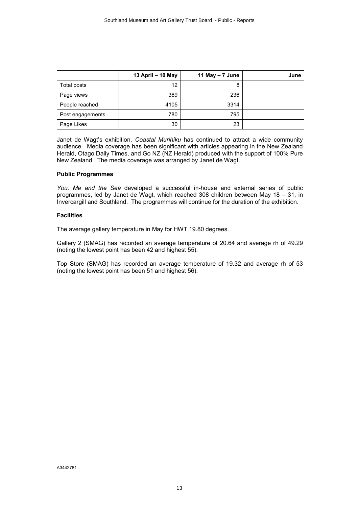|                  | 13 April - 10 May | 11 May $-7$ June | June |
|------------------|-------------------|------------------|------|
| Total posts      | 12                | 8                |      |
| Page views       | 369               | 236              |      |
| People reached   | 4105              | 3314             |      |
| Post engagements | 780               | 795              |      |
| Page Likes       | 30                | 23               |      |

Janet de Wagt's exhibition, *Coastal Murihiku* has continued to attract a wide community audience. Media coverage has been significant with articles appearing in the New Zealand Herald, Otago Daily Times, and Go NZ (NZ Herald) produced with the support of 100% Pure New Zealand. The media coverage was arranged by Janet de Wagt.

#### **Public Programmes**

*You, Me and the Sea* developed a successful in-house and external series of public programmes, led by Janet de Wagt, which reached 308 children between May 18 – 31, in Invercargill and Southland. The programmes will continue for the duration of the exhibition.

#### **Facilities**

The average gallery temperature in May for HWT 19.80 degrees.

Gallery 2 (SMAG) has recorded an average temperature of 20.64 and average rh of 49.29 (noting the lowest point has been 42 and highest 55).

Top Store (SMAG) has recorded an average temperature of 19.32 and average rh of 53 (noting the lowest point has been 51 and highest 56).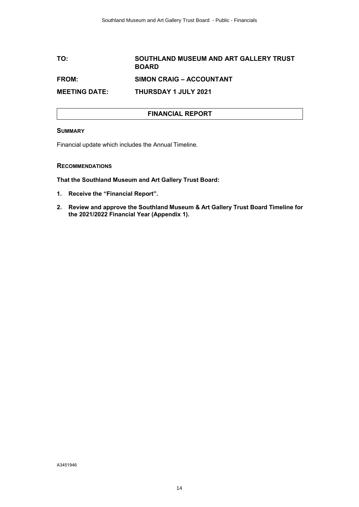## <span id="page-13-0"></span>**TO: SOUTHLAND MUSEUM AND ART GALLERY TRUST BOARD FROM: SIMON CRAIG – ACCOUNTANT MEETING DATE: THURSDAY 1 JULY 2021**

#### **FINANCIAL REPORT**

#### **SUMMARY**

Financial update which includes the Annual Timeline.

#### **RECOMMENDATIONS**

**That the Southland Museum and Art Gallery Trust Board:**

- **1. Receive the "Financial Report".**
- **2. Review and approve the Southland Museum & Art Gallery Trust Board Timeline for the 2021/2022 Financial Year (Appendix 1).**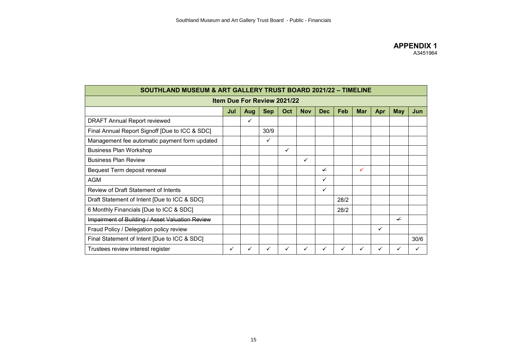<span id="page-14-0"></span>

| <b>SOUTHLAND MUSEUM &amp; ART GALLERY TRUST BOARD 2021/22 - TIMELINE</b>                                     |   |              |      |   |   |   |      |   |   |   |      |
|--------------------------------------------------------------------------------------------------------------|---|--------------|------|---|---|---|------|---|---|---|------|
| Item Due For Review 2021/22                                                                                  |   |              |      |   |   |   |      |   |   |   |      |
| <b>Nov</b><br>Feb<br><b>Sep</b><br>Oct<br><b>Dec</b><br><b>Mar</b><br><b>May</b><br>Jun<br>Jul<br>Apr<br>Aug |   |              |      |   |   |   |      |   |   |   |      |
| <b>DRAFT Annual Report reviewed</b>                                                                          |   | $\checkmark$ |      |   |   |   |      |   |   |   |      |
| Final Annual Report Signoff [Due to ICC & SDC]                                                               |   |              | 30/9 |   |   |   |      |   |   |   |      |
| Management fee automatic payment form updated                                                                |   |              | ✓    |   |   |   |      |   |   |   |      |
| <b>Business Plan Workshop</b>                                                                                |   |              |      | ✓ |   |   |      |   |   |   |      |
| <b>Business Plan Review</b>                                                                                  |   |              |      |   | ✓ |   |      |   |   |   |      |
| Bequest Term deposit renewal                                                                                 |   |              |      |   |   | ✓ |      | ✓ |   |   |      |
| <b>AGM</b>                                                                                                   |   |              |      |   |   | ✓ |      |   |   |   |      |
| Review of Draft Statement of Intents                                                                         |   |              |      |   |   | ✓ |      |   |   |   |      |
| Draft Statement of Intent [Due to ICC & SDC]                                                                 |   |              |      |   |   |   | 28/2 |   |   |   |      |
| 6 Monthly Financials [Due to ICC & SDC]                                                                      |   |              |      |   |   |   | 28/2 |   |   |   |      |
| Impairment of Building / Asset Valuation Review                                                              |   |              |      |   |   |   |      |   |   | ✓ |      |
| Fraud Policy / Delegation policy review                                                                      |   |              |      |   |   |   |      |   | ✓ |   |      |
| Final Statement of Intent [Due to ICC & SDC]                                                                 |   |              |      |   |   |   |      |   |   |   | 30/6 |
| Trustees review interest register                                                                            | ✓ | $\checkmark$ | ✓    | ✓ | ✓ | ✓ | ✓    | ✓ | ✓ | ✓ |      |